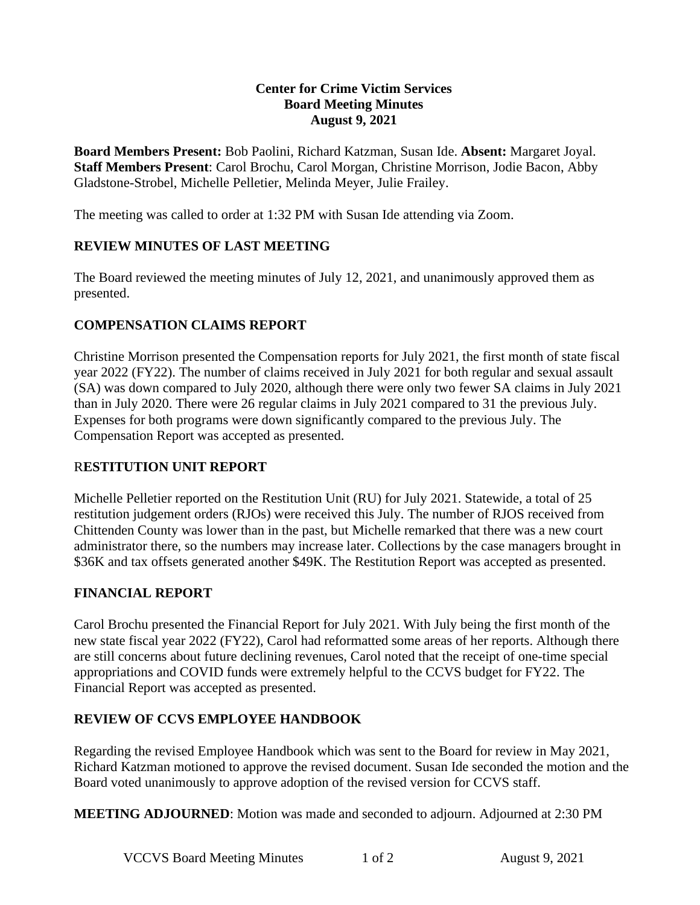#### **Center for Crime Victim Services Board Meeting Minutes August 9, 2021**

**Board Members Present:** Bob Paolini, Richard Katzman, Susan Ide. **Absent:** Margaret Joyal. **Staff Members Present**: Carol Brochu, Carol Morgan, Christine Morrison, Jodie Bacon, Abby Gladstone-Strobel, Michelle Pelletier, Melinda Meyer, Julie Frailey.

The meeting was called to order at 1:32 PM with Susan Ide attending via Zoom.

## **REVIEW MINUTES OF LAST MEETING**

The Board reviewed the meeting minutes of July 12, 2021, and unanimously approved them as presented.

## **COMPENSATION CLAIMS REPORT**

Christine Morrison presented the Compensation reports for July 2021, the first month of state fiscal year 2022 (FY22). The number of claims received in July 2021 for both regular and sexual assault (SA) was down compared to July 2020, although there were only two fewer SA claims in July 2021 than in July 2020. There were 26 regular claims in July 2021 compared to 31 the previous July. Expenses for both programs were down significantly compared to the previous July. The Compensation Report was accepted as presented.

### R**ESTITUTION UNIT REPORT**

Michelle Pelletier reported on the Restitution Unit (RU) for July 2021. Statewide, a total of 25 restitution judgement orders (RJOs) were received this July. The number of RJOS received from Chittenden County was lower than in the past, but Michelle remarked that there was a new court administrator there, so the numbers may increase later. Collections by the case managers brought in \$36K and tax offsets generated another \$49K. The Restitution Report was accepted as presented.

### **FINANCIAL REPORT**

Carol Brochu presented the Financial Report for July 2021. With July being the first month of the new state fiscal year 2022 (FY22), Carol had reformatted some areas of her reports. Although there are still concerns about future declining revenues, Carol noted that the receipt of one-time special appropriations and COVID funds were extremely helpful to the CCVS budget for FY22. The Financial Report was accepted as presented.

### **REVIEW OF CCVS EMPLOYEE HANDBOOK**

Regarding the revised Employee Handbook which was sent to the Board for review in May 2021, Richard Katzman motioned to approve the revised document. Susan Ide seconded the motion and the Board voted unanimously to approve adoption of the revised version for CCVS staff.

**MEETING ADJOURNED**: Motion was made and seconded to adjourn. Adjourned at 2:30 PM